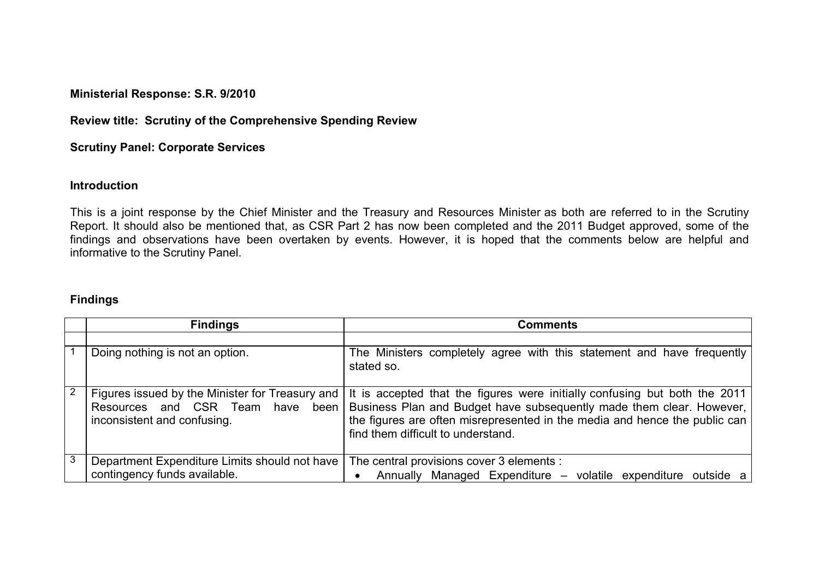**Ministerial Response: S.R. 9/2010** 

**Review title: Scrutiny of the Comprehensive Spending Review**

**Scrutiny Panel: Corporate Services** 

## **Introduction**

This is a joint response by the Chief Minister and the Treasury and Resources Minister as both are referred to in the Scrutiny Report. It should also be mentioned that, as CSR Part 2 has now been completed and the 2011 Budget approved, some of the findings and observations have been overtaken by events. However, it is hoped that the comments below are helpful and informative to the Scrutiny Panel.

## **Findings**

|   | <b>Findings</b>                                                                                                       | <b>Comments</b>                                                                                                                                                                                                                                                        |
|---|-----------------------------------------------------------------------------------------------------------------------|------------------------------------------------------------------------------------------------------------------------------------------------------------------------------------------------------------------------------------------------------------------------|
|   |                                                                                                                       |                                                                                                                                                                                                                                                                        |
|   | Doing nothing is not an option.                                                                                       | The Ministers completely agree with this statement and have frequently<br>stated so.                                                                                                                                                                                   |
| 2 | Figures issued by the Minister for Treasury and<br>Resources and CSR Team have<br>been<br>inconsistent and confusing. | It is accepted that the figures were initially confusing but both the 2011<br>Business Plan and Budget have subsequently made them clear. However,<br>the figures are often misrepresented in the media and hence the public can<br>find them difficult to understand. |
| 3 | Department Expenditure Limits should not have<br>contingency funds available.                                         | The central provisions cover 3 elements :<br>Annually Managed Expenditure - volatile expenditure outside a                                                                                                                                                             |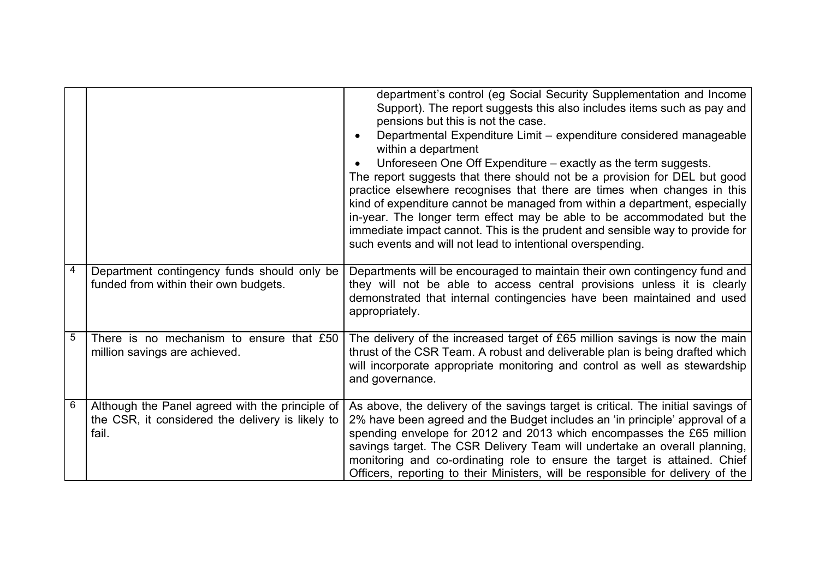|   |                                                                                                              | department's control (eg Social Security Supplementation and Income<br>Support). The report suggests this also includes items such as pay and<br>pensions but this is not the case.<br>Departmental Expenditure Limit - expenditure considered manageable<br>within a department<br>Unforeseen One Off Expenditure – exactly as the term suggests.<br>The report suggests that there should not be a provision for DEL but good<br>practice elsewhere recognises that there are times when changes in this<br>kind of expenditure cannot be managed from within a department, especially<br>in-year. The longer term effect may be able to be accommodated but the<br>immediate impact cannot. This is the prudent and sensible way to provide for<br>such events and will not lead to intentional overspending. |
|---|--------------------------------------------------------------------------------------------------------------|------------------------------------------------------------------------------------------------------------------------------------------------------------------------------------------------------------------------------------------------------------------------------------------------------------------------------------------------------------------------------------------------------------------------------------------------------------------------------------------------------------------------------------------------------------------------------------------------------------------------------------------------------------------------------------------------------------------------------------------------------------------------------------------------------------------|
| 4 | Department contingency funds should only be<br>funded from within their own budgets.                         | Departments will be encouraged to maintain their own contingency fund and<br>they will not be able to access central provisions unless it is clearly<br>demonstrated that internal contingencies have been maintained and used<br>appropriately.                                                                                                                                                                                                                                                                                                                                                                                                                                                                                                                                                                 |
| 5 | There is no mechanism to ensure that £50<br>million savings are achieved.                                    | The delivery of the increased target of £65 million savings is now the main<br>thrust of the CSR Team. A robust and deliverable plan is being drafted which<br>will incorporate appropriate monitoring and control as well as stewardship<br>and governance.                                                                                                                                                                                                                                                                                                                                                                                                                                                                                                                                                     |
| 6 | Although the Panel agreed with the principle of<br>the CSR, it considered the delivery is likely to<br>fail. | As above, the delivery of the savings target is critical. The initial savings of<br>2% have been agreed and the Budget includes an 'in principle' approval of a<br>spending envelope for 2012 and 2013 which encompasses the £65 million<br>savings target. The CSR Delivery Team will undertake an overall planning,<br>monitoring and co-ordinating role to ensure the target is attained. Chief<br>Officers, reporting to their Ministers, will be responsible for delivery of the                                                                                                                                                                                                                                                                                                                            |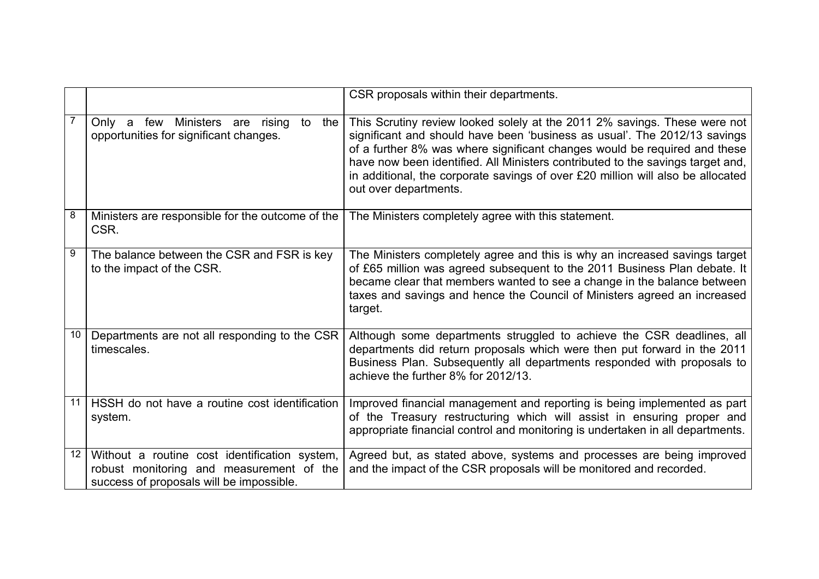|    |                                                                                                                                       | CSR proposals within their departments.                                                                                                                                                                                                                                                                                                                                                                                           |
|----|---------------------------------------------------------------------------------------------------------------------------------------|-----------------------------------------------------------------------------------------------------------------------------------------------------------------------------------------------------------------------------------------------------------------------------------------------------------------------------------------------------------------------------------------------------------------------------------|
|    | Only a few Ministers are rising<br>to<br>the<br>opportunities for significant changes.                                                | This Scrutiny review looked solely at the 2011 2% savings. These were not<br>significant and should have been 'business as usual'. The 2012/13 savings<br>of a further 8% was where significant changes would be required and these<br>have now been identified. All Ministers contributed to the savings target and,<br>in additional, the corporate savings of over £20 million will also be allocated<br>out over departments. |
| 8  | Ministers are responsible for the outcome of the<br>CSR.                                                                              | The Ministers completely agree with this statement.                                                                                                                                                                                                                                                                                                                                                                               |
| 9  | The balance between the CSR and FSR is key<br>to the impact of the CSR.                                                               | The Ministers completely agree and this is why an increased savings target<br>of £65 million was agreed subsequent to the 2011 Business Plan debate. It<br>became clear that members wanted to see a change in the balance between<br>taxes and savings and hence the Council of Ministers agreed an increased<br>target.                                                                                                         |
| 10 | Departments are not all responding to the CSR<br>timescales.                                                                          | Although some departments struggled to achieve the CSR deadlines, all<br>departments did return proposals which were then put forward in the 2011<br>Business Plan. Subsequently all departments responded with proposals to<br>achieve the further 8% for 2012/13.                                                                                                                                                               |
| 11 | HSSH do not have a routine cost identification<br>system.                                                                             | Improved financial management and reporting is being implemented as part<br>of the Treasury restructuring which will assist in ensuring proper and<br>appropriate financial control and monitoring is undertaken in all departments.                                                                                                                                                                                              |
| 12 | Without a routine cost identification system,<br>robust monitoring and measurement of the<br>success of proposals will be impossible. | Agreed but, as stated above, systems and processes are being improved<br>and the impact of the CSR proposals will be monitored and recorded.                                                                                                                                                                                                                                                                                      |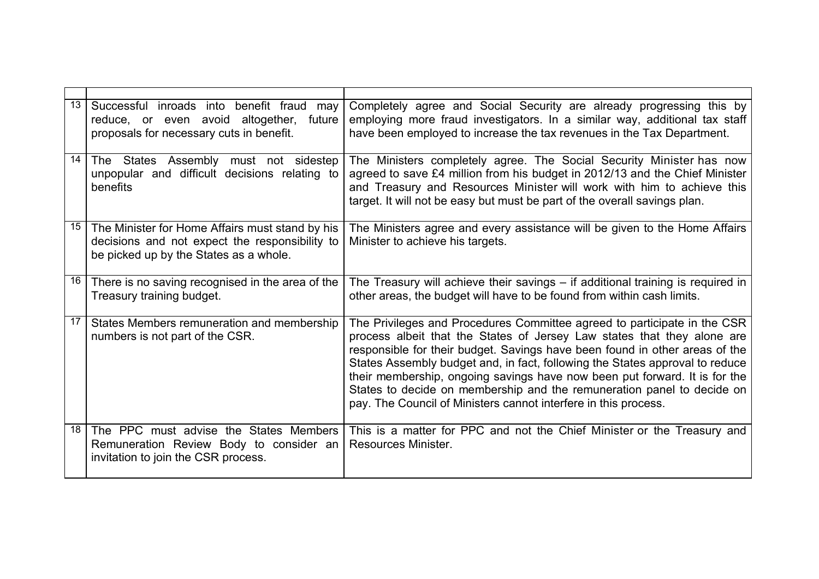| 13 | Successful inroads into<br>benefit fraud<br>may<br>reduce, or even avoid altogether,<br>future<br>proposals for necessary cuts in benefit.  | Completely agree and Social Security are already progressing this by<br>employing more fraud investigators. In a similar way, additional tax staff<br>have been employed to increase the tax revenues in the Tax Department.                                                                                                                                                                                                                                                                                                                  |
|----|---------------------------------------------------------------------------------------------------------------------------------------------|-----------------------------------------------------------------------------------------------------------------------------------------------------------------------------------------------------------------------------------------------------------------------------------------------------------------------------------------------------------------------------------------------------------------------------------------------------------------------------------------------------------------------------------------------|
| 14 | The States Assembly must not sidestep<br>unpopular and difficult decisions relating to<br>benefits                                          | The Ministers completely agree. The Social Security Minister has now<br>agreed to save £4 million from his budget in 2012/13 and the Chief Minister<br>and Treasury and Resources Minister will work with him to achieve this<br>target. It will not be easy but must be part of the overall savings plan.                                                                                                                                                                                                                                    |
| 15 | The Minister for Home Affairs must stand by his<br>decisions and not expect the responsibility to<br>be picked up by the States as a whole. | The Ministers agree and every assistance will be given to the Home Affairs<br>Minister to achieve his targets.                                                                                                                                                                                                                                                                                                                                                                                                                                |
| 16 | There is no saving recognised in the area of the<br>Treasury training budget.                                                               | The Treasury will achieve their savings $-$ if additional training is required in<br>other areas, the budget will have to be found from within cash limits.                                                                                                                                                                                                                                                                                                                                                                                   |
| 17 | States Members remuneration and membership<br>numbers is not part of the CSR.                                                               | The Privileges and Procedures Committee agreed to participate in the CSR<br>process albeit that the States of Jersey Law states that they alone are<br>responsible for their budget. Savings have been found in other areas of the<br>States Assembly budget and, in fact, following the States approval to reduce<br>their membership, ongoing savings have now been put forward. It is for the<br>States to decide on membership and the remuneration panel to decide on<br>pay. The Council of Ministers cannot interfere in this process. |
| 18 | The PPC must advise the States Members<br>Remuneration Review Body to consider an<br>invitation to join the CSR process.                    | This is a matter for PPC and not the Chief Minister or the Treasury and<br>Resources Minister.                                                                                                                                                                                                                                                                                                                                                                                                                                                |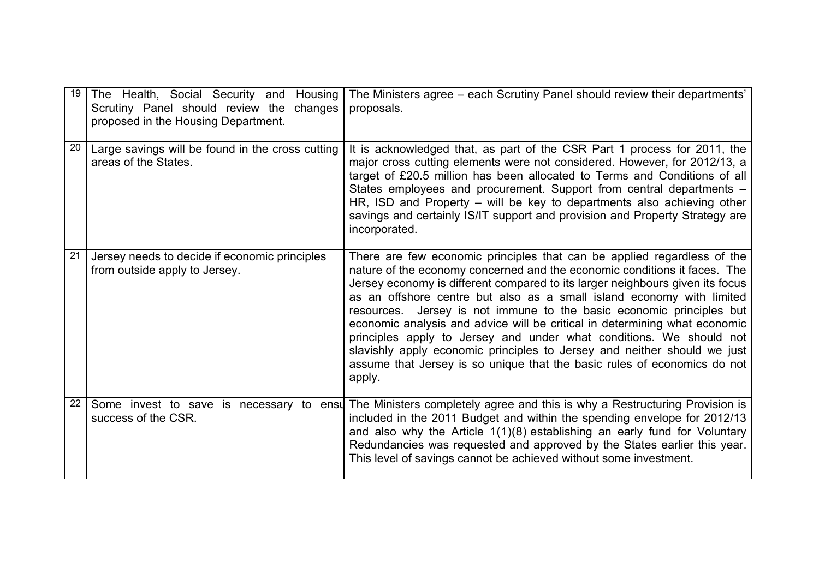| 19 | The Health, Social Security and Housing<br>Scrutiny Panel should review the changes<br>proposed in the Housing Department. | The Ministers agree – each Scrutiny Panel should review their departments'<br>proposals.                                                                                                                                                                                                                                                                                                                                                                                                                                                                                                                                                                                                                      |
|----|----------------------------------------------------------------------------------------------------------------------------|---------------------------------------------------------------------------------------------------------------------------------------------------------------------------------------------------------------------------------------------------------------------------------------------------------------------------------------------------------------------------------------------------------------------------------------------------------------------------------------------------------------------------------------------------------------------------------------------------------------------------------------------------------------------------------------------------------------|
| 20 | Large savings will be found in the cross cutting<br>areas of the States.                                                   | It is acknowledged that, as part of the CSR Part 1 process for 2011, the<br>major cross cutting elements were not considered. However, for 2012/13, a<br>target of £20.5 million has been allocated to Terms and Conditions of all<br>States employees and procurement. Support from central departments -<br>HR, ISD and Property – will be key to departments also achieving other<br>savings and certainly IS/IT support and provision and Property Strategy are<br>incorporated.                                                                                                                                                                                                                          |
| 21 | Jersey needs to decide if economic principles<br>from outside apply to Jersey.                                             | There are few economic principles that can be applied regardless of the<br>nature of the economy concerned and the economic conditions it faces. The<br>Jersey economy is different compared to its larger neighbours given its focus<br>as an offshore centre but also as a small island economy with limited<br>resources. Jersey is not immune to the basic economic principles but<br>economic analysis and advice will be critical in determining what economic<br>principles apply to Jersey and under what conditions. We should not<br>slavishly apply economic principles to Jersey and neither should we just<br>assume that Jersey is so unique that the basic rules of economics do not<br>apply. |
| 22 | success of the CSR.                                                                                                        | Some invest to save is necessary to ensu The Ministers completely agree and this is why a Restructuring Provision is<br>included in the 2011 Budget and within the spending envelope for 2012/13<br>and also why the Article $1(1)(8)$ establishing an early fund for Voluntary<br>Redundancies was requested and approved by the States earlier this year.<br>This level of savings cannot be achieved without some investment.                                                                                                                                                                                                                                                                              |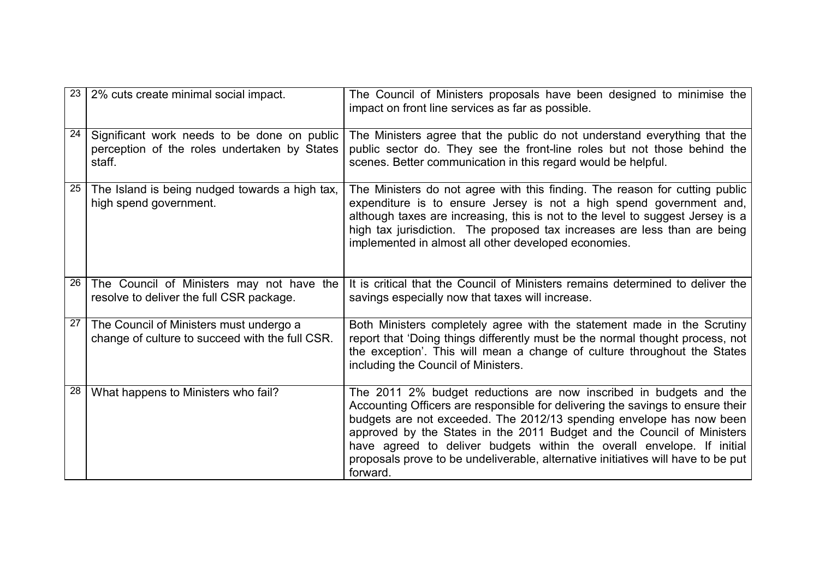| 23 | 2% cuts create minimal social impact.                                                                 | The Council of Ministers proposals have been designed to minimise the<br>impact on front line services as far as possible.                                                                                                                                                                                                                                                                                                                                                       |
|----|-------------------------------------------------------------------------------------------------------|----------------------------------------------------------------------------------------------------------------------------------------------------------------------------------------------------------------------------------------------------------------------------------------------------------------------------------------------------------------------------------------------------------------------------------------------------------------------------------|
| 24 | Significant work needs to be done on public<br>perception of the roles undertaken by States<br>staff. | The Ministers agree that the public do not understand everything that the<br>public sector do. They see the front-line roles but not those behind the<br>scenes. Better communication in this regard would be helpful.                                                                                                                                                                                                                                                           |
| 25 | The Island is being nudged towards a high tax,<br>high spend government.                              | The Ministers do not agree with this finding. The reason for cutting public<br>expenditure is to ensure Jersey is not a high spend government and,<br>although taxes are increasing, this is not to the level to suggest Jersey is a<br>high tax jurisdiction. The proposed tax increases are less than are being<br>implemented in almost all other developed economies.                                                                                                        |
| 26 | The Council of Ministers may not have the<br>resolve to deliver the full CSR package.                 | It is critical that the Council of Ministers remains determined to deliver the<br>savings especially now that taxes will increase.                                                                                                                                                                                                                                                                                                                                               |
| 27 | The Council of Ministers must undergo a<br>change of culture to succeed with the full CSR.            | Both Ministers completely agree with the statement made in the Scrutiny<br>report that 'Doing things differently must be the normal thought process, not<br>the exception'. This will mean a change of culture throughout the States<br>including the Council of Ministers.                                                                                                                                                                                                      |
| 28 | What happens to Ministers who fail?                                                                   | The 2011 2% budget reductions are now inscribed in budgets and the<br>Accounting Officers are responsible for delivering the savings to ensure their<br>budgets are not exceeded. The 2012/13 spending envelope has now been<br>approved by the States in the 2011 Budget and the Council of Ministers<br>have agreed to deliver budgets within the overall envelope. If initial<br>proposals prove to be undeliverable, alternative initiatives will have to be put<br>forward. |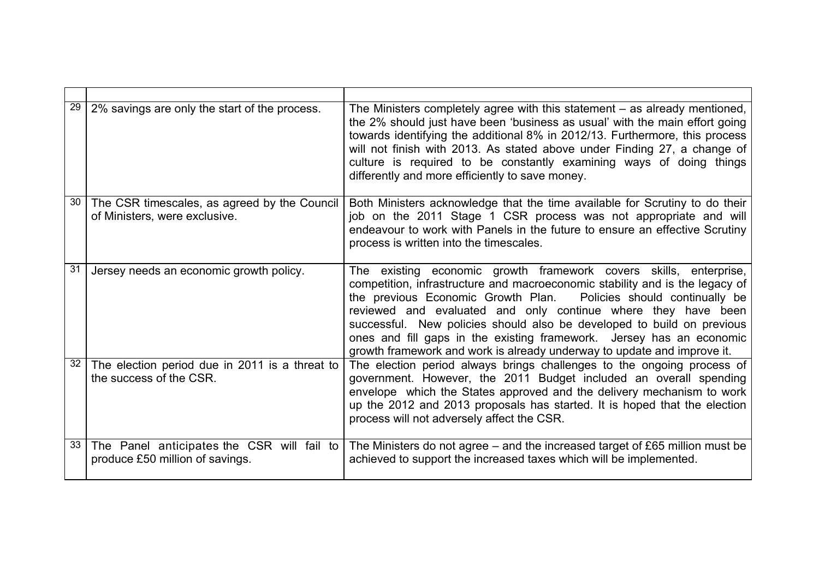| 29 | 2% savings are only the start of the process.                                 | The Ministers completely agree with this statement - as already mentioned,<br>the 2% should just have been 'business as usual' with the main effort going<br>towards identifying the additional 8% in 2012/13. Furthermore, this process<br>will not finish with 2013. As stated above under Finding 27, a change of<br>culture is required to be constantly examining ways of doing things<br>differently and more efficiently to save money.                                                                          |
|----|-------------------------------------------------------------------------------|-------------------------------------------------------------------------------------------------------------------------------------------------------------------------------------------------------------------------------------------------------------------------------------------------------------------------------------------------------------------------------------------------------------------------------------------------------------------------------------------------------------------------|
| 30 | The CSR timescales, as agreed by the Council<br>of Ministers, were exclusive. | Both Ministers acknowledge that the time available for Scrutiny to do their<br>job on the 2011 Stage 1 CSR process was not appropriate and will<br>endeavour to work with Panels in the future to ensure an effective Scrutiny<br>process is written into the timescales.                                                                                                                                                                                                                                               |
| 31 | Jersey needs an economic growth policy.                                       | The existing economic growth framework covers skills, enterprise,<br>competition, infrastructure and macroeconomic stability and is the legacy of<br>the previous Economic Growth Plan.<br>Policies should continually be<br>reviewed and evaluated and only continue where they have been<br>successful. New policies should also be developed to build on previous<br>ones and fill gaps in the existing framework. Jersey has an economic<br>growth framework and work is already underway to update and improve it. |
| 32 | The election period due in 2011 is a threat to<br>the success of the CSR.     | The election period always brings challenges to the ongoing process of<br>government. However, the 2011 Budget included an overall spending<br>envelope which the States approved and the delivery mechanism to work<br>up the 2012 and 2013 proposals has started. It is hoped that the election<br>process will not adversely affect the CSR.                                                                                                                                                                         |
| 33 | The Panel anticipates the CSR will fail to<br>produce £50 million of savings. | The Ministers do not agree – and the increased target of £65 million must be<br>achieved to support the increased taxes which will be implemented.                                                                                                                                                                                                                                                                                                                                                                      |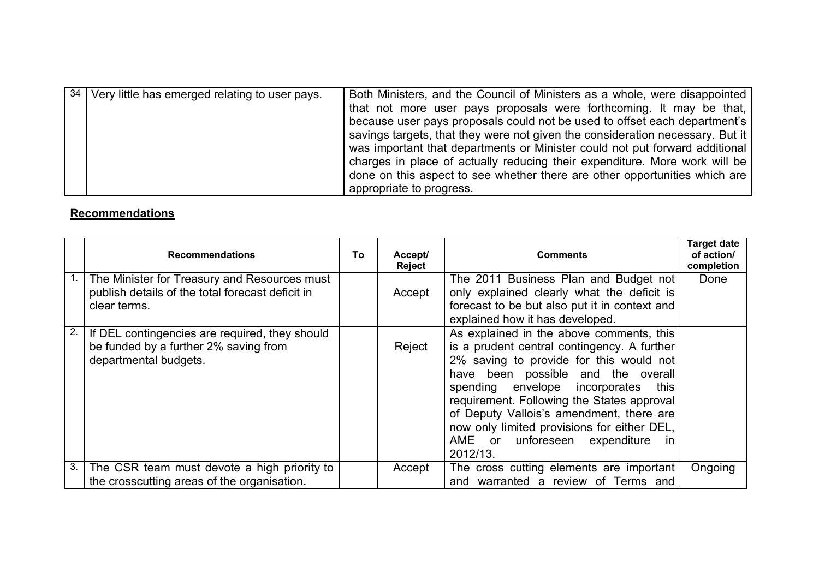| $\sqrt{34}$ Very little has emerged relating to user pays. | Both Ministers, and the Council of Ministers as a whole, were disappointed    |
|------------------------------------------------------------|-------------------------------------------------------------------------------|
|                                                            | that not more user pays proposals were forthcoming. It may be that,           |
|                                                            | because user pays proposals could not be used to offset each department's     |
|                                                            | savings targets, that they were not given the consideration necessary. But it |
|                                                            | was important that departments or Minister could not put forward additional   |
|                                                            | charges in place of actually reducing their expenditure. More work will be    |
|                                                            | done on this aspect to see whether there are other opportunities which are    |
|                                                            | appropriate to progress.                                                      |

## **Recommendations**

|    | <b>Recommendations</b>                                                                                           | To | Accept/<br>Reject | <b>Comments</b>                                                                                                                                                                                                                                                                                                                                                                                                | <b>Target date</b><br>of action/<br>completion |
|----|------------------------------------------------------------------------------------------------------------------|----|-------------------|----------------------------------------------------------------------------------------------------------------------------------------------------------------------------------------------------------------------------------------------------------------------------------------------------------------------------------------------------------------------------------------------------------------|------------------------------------------------|
|    | The Minister for Treasury and Resources must<br>publish details of the total forecast deficit in<br>clear terms. |    | Accept            | The 2011 Business Plan and Budget not<br>only explained clearly what the deficit is<br>forecast to be but also put it in context and<br>explained how it has developed.                                                                                                                                                                                                                                        | Done                                           |
| 2. | If DEL contingencies are required, they should<br>be funded by a further 2% saving from<br>departmental budgets. |    | Reject            | As explained in the above comments, this<br>is a prudent central contingency. A further<br>2% saving to provide for this would not<br>have been possible and the overall<br>spending envelope incorporates<br>this<br>requirement. Following the States approval<br>of Deputy Vallois's amendment, there are<br>now only limited provisions for either DEL,<br>AME or unforeseen expenditure<br>ın<br>2012/13. |                                                |
| 3. | The CSR team must devote a high priority to                                                                      |    | Accept            | The cross cutting elements are important                                                                                                                                                                                                                                                                                                                                                                       | Ongoing                                        |
|    | the crosscutting areas of the organisation.                                                                      |    |                   | and warranted a review of Terms and                                                                                                                                                                                                                                                                                                                                                                            |                                                |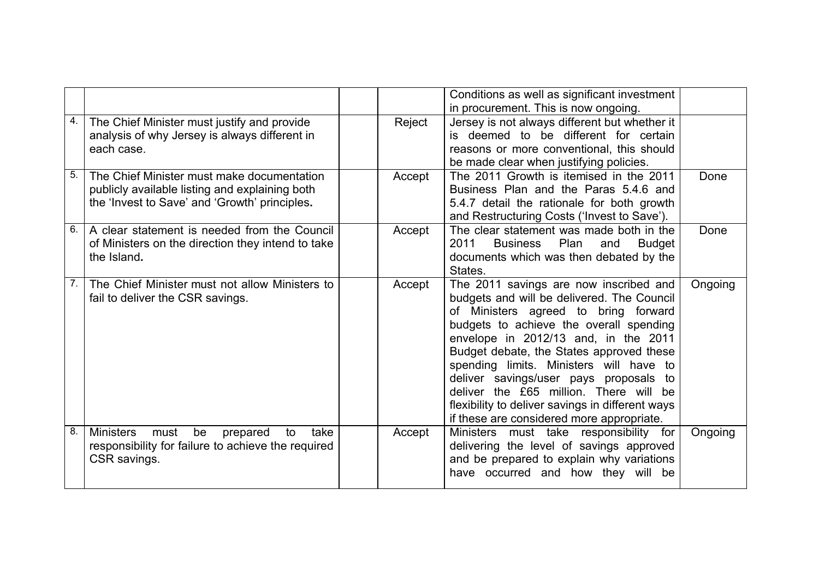|    |                                                                                                                                               |        | Conditions as well as significant investment                                                                                                                                                                                                                                                                                                                                                                                                                                                |         |
|----|-----------------------------------------------------------------------------------------------------------------------------------------------|--------|---------------------------------------------------------------------------------------------------------------------------------------------------------------------------------------------------------------------------------------------------------------------------------------------------------------------------------------------------------------------------------------------------------------------------------------------------------------------------------------------|---------|
|    |                                                                                                                                               |        | in procurement. This is now ongoing.                                                                                                                                                                                                                                                                                                                                                                                                                                                        |         |
| 4. | The Chief Minister must justify and provide<br>analysis of why Jersey is always different in<br>each case.                                    | Reject | Jersey is not always different but whether it<br>is deemed to be different for certain<br>reasons or more conventional, this should<br>be made clear when justifying policies.                                                                                                                                                                                                                                                                                                              |         |
| 5. | The Chief Minister must make documentation<br>publicly available listing and explaining both<br>the 'Invest to Save' and 'Growth' principles. | Accept | The 2011 Growth is itemised in the 2011<br>Business Plan and the Paras 5.4.6 and<br>5.4.7 detail the rationale for both growth<br>and Restructuring Costs ('Invest to Save').                                                                                                                                                                                                                                                                                                               | Done    |
| 6. | A clear statement is needed from the Council<br>of Ministers on the direction they intend to take<br>the Island.                              | Accept | The clear statement was made both in the<br>2011<br><b>Business</b><br>Plan<br><b>Budget</b><br>and<br>documents which was then debated by the<br>States.                                                                                                                                                                                                                                                                                                                                   | Done    |
| 7. | The Chief Minister must not allow Ministers to<br>fail to deliver the CSR savings.                                                            | Accept | The 2011 savings are now inscribed and<br>budgets and will be delivered. The Council<br>of Ministers agreed to bring forward<br>budgets to achieve the overall spending<br>envelope in 2012/13 and, in the 2011<br>Budget debate, the States approved these<br>spending limits. Ministers will have to<br>deliver savings/user pays proposals to<br>deliver the £65 million. There will be<br>flexibility to deliver savings in different ways<br>if these are considered more appropriate. | Ongoing |
| 8. | <b>Ministers</b><br>be<br>to<br>take<br>must<br>prepared<br>responsibility for failure to achieve the required<br>CSR savings.                | Accept | Ministers must take responsibility for<br>delivering the level of savings approved<br>and be prepared to explain why variations<br>have occurred and how they will be                                                                                                                                                                                                                                                                                                                       | Ongoing |